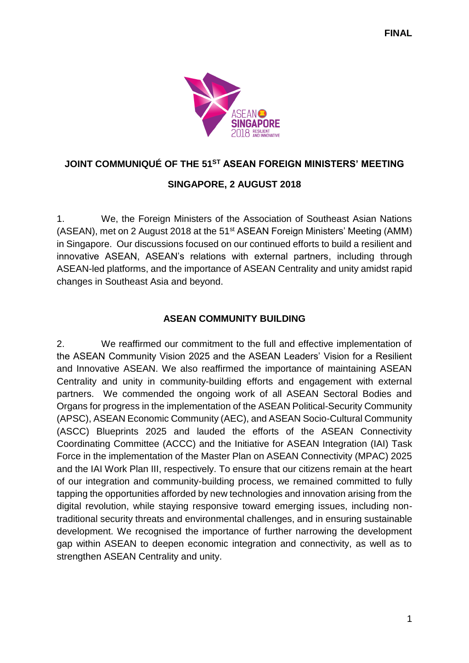

# **JOINT COMMUNIQUÉ OF THE 51ST ASEAN FOREIGN MINISTERS' MEETING**

# **SINGAPORE, 2 AUGUST 2018**

1. We, the Foreign Ministers of the Association of Southeast Asian Nations (ASEAN), met on 2 August 2018 at the 51st ASEAN Foreign Ministers' Meeting (AMM) in Singapore. Our discussions focused on our continued efforts to build a resilient and innovative ASEAN, ASEAN's relations with external partners, including through ASEAN-led platforms, and the importance of ASEAN Centrality and unity amidst rapid changes in Southeast Asia and beyond.

# **ASEAN COMMUNITY BUILDING**

2. We reaffirmed our commitment to the full and effective implementation of the ASEAN Community Vision 2025 and the ASEAN Leaders' Vision for a Resilient and Innovative ASEAN. We also reaffirmed the importance of maintaining ASEAN Centrality and unity in community-building efforts and engagement with external partners. We commended the ongoing work of all ASEAN Sectoral Bodies and Organs for progress in the implementation of the ASEAN Political-Security Community (APSC), ASEAN Economic Community (AEC), and ASEAN Socio-Cultural Community (ASCC) Blueprints 2025 and lauded the efforts of the ASEAN Connectivity Coordinating Committee (ACCC) and the Initiative for ASEAN Integration (IAI) Task Force in the implementation of the Master Plan on ASEAN Connectivity (MPAC) 2025 and the IAI Work Plan III, respectively. To ensure that our citizens remain at the heart of our integration and community-building process, we remained committed to fully tapping the opportunities afforded by new technologies and innovation arising from the digital revolution, while staying responsive toward emerging issues, including nontraditional security threats and environmental challenges, and in ensuring sustainable development. We recognised the importance of further narrowing the development gap within ASEAN to deepen economic integration and connectivity, as well as to strengthen ASEAN Centrality and unity.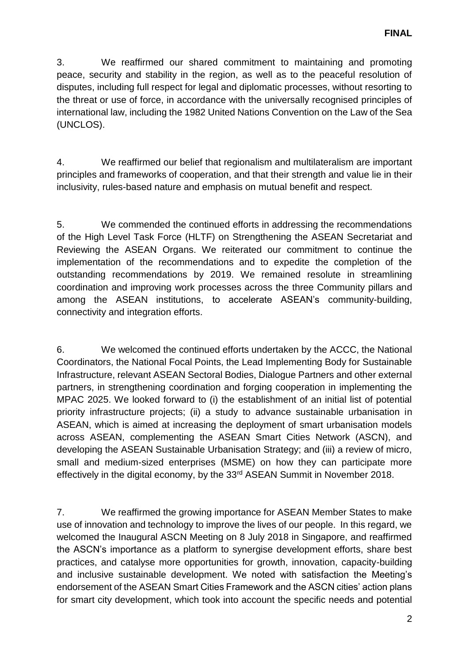3. We reaffirmed our shared commitment to maintaining and promoting peace, security and stability in the region, as well as to the peaceful resolution of disputes, including full respect for legal and diplomatic processes, without resorting to the threat or use of force, in accordance with the universally recognised principles of international law, including the 1982 United Nations Convention on the Law of the Sea (UNCLOS).

4. We reaffirmed our belief that regionalism and multilateralism are important principles and frameworks of cooperation, and that their strength and value lie in their inclusivity, rules-based nature and emphasis on mutual benefit and respect.

5. We commended the continued efforts in addressing the recommendations of the High Level Task Force (HLTF) on Strengthening the ASEAN Secretariat and Reviewing the ASEAN Organs. We reiterated our commitment to continue the implementation of the recommendations and to expedite the completion of the outstanding recommendations by 2019. We remained resolute in streamlining coordination and improving work processes across the three Community pillars and among the ASEAN institutions, to accelerate ASEAN's community-building, connectivity and integration efforts.

6. We welcomed the continued efforts undertaken by the ACCC, the National Coordinators, the National Focal Points, the Lead Implementing Body for Sustainable Infrastructure, relevant ASEAN Sectoral Bodies, Dialogue Partners and other external partners, in strengthening coordination and forging cooperation in implementing the MPAC 2025. We looked forward to (i) the establishment of an initial list of potential priority infrastructure projects; (ii) a study to advance sustainable urbanisation in ASEAN, which is aimed at increasing the deployment of smart urbanisation models across ASEAN, complementing the ASEAN Smart Cities Network (ASCN), and developing the ASEAN Sustainable Urbanisation Strategy; and (iii) a review of micro, small and medium-sized enterprises (MSME) on how they can participate more effectively in the digital economy, by the 33rd ASEAN Summit in November 2018.

7. We reaffirmed the growing importance for ASEAN Member States to make use of innovation and technology to improve the lives of our people. In this regard, we welcomed the Inaugural ASCN Meeting on 8 July 2018 in Singapore, and reaffirmed the ASCN's importance as a platform to synergise development efforts, share best practices, and catalyse more opportunities for growth, innovation, capacity-building and inclusive sustainable development. We noted with satisfaction the Meeting's endorsement of the ASEAN Smart Cities Framework and the ASCN cities' action plans for smart city development, which took into account the specific needs and potential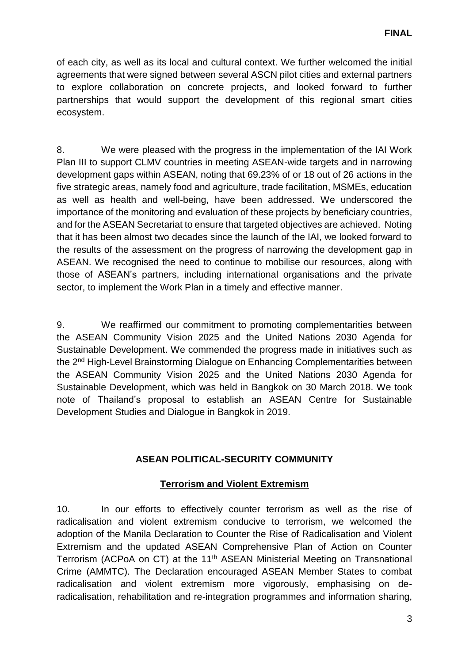of each city, as well as its local and cultural context. We further welcomed the initial agreements that were signed between several ASCN pilot cities and external partners to explore collaboration on concrete projects, and looked forward to further partnerships that would support the development of this regional smart cities ecosystem.

8. We were pleased with the progress in the implementation of the IAI Work Plan III to support CLMV countries in meeting ASEAN-wide targets and in narrowing development gaps within ASEAN, noting that 69.23% of or 18 out of 26 actions in the five strategic areas, namely food and agriculture, trade facilitation, MSMEs, education as well as health and well-being, have been addressed. We underscored the importance of the monitoring and evaluation of these projects by beneficiary countries, and for the ASEAN Secretariat to ensure that targeted objectives are achieved. Noting that it has been almost two decades since the launch of the IAI, we looked forward to the results of the assessment on the progress of narrowing the development gap in ASEAN. We recognised the need to continue to mobilise our resources, along with those of ASEAN's partners, including international organisations and the private sector, to implement the Work Plan in a timely and effective manner.

9. We reaffirmed our commitment to promoting complementarities between the ASEAN Community Vision 2025 and the United Nations 2030 Agenda for Sustainable Development. We commended the progress made in initiatives such as the 2<sup>nd</sup> High-Level Brainstorming Dialogue on Enhancing Complementarities between the ASEAN Community Vision 2025 and the United Nations 2030 Agenda for Sustainable Development, which was held in Bangkok on 30 March 2018. We took note of Thailand's proposal to establish an ASEAN Centre for Sustainable Development Studies and Dialogue in Bangkok in 2019.

# **ASEAN POLITICAL-SECURITY COMMUNITY**

# **Terrorism and Violent Extremism**

10. In our efforts to effectively counter terrorism as well as the rise of radicalisation and violent extremism conducive to terrorism, we welcomed the adoption of the Manila Declaration to Counter the Rise of Radicalisation and Violent Extremism and the updated ASEAN Comprehensive Plan of Action on Counter Terrorism (ACPoA on CT) at the 11<sup>th</sup> ASEAN Ministerial Meeting on Transnational Crime (AMMTC). The Declaration encouraged ASEAN Member States to combat radicalisation and violent extremism more vigorously, emphasising on deradicalisation, rehabilitation and re-integration programmes and information sharing,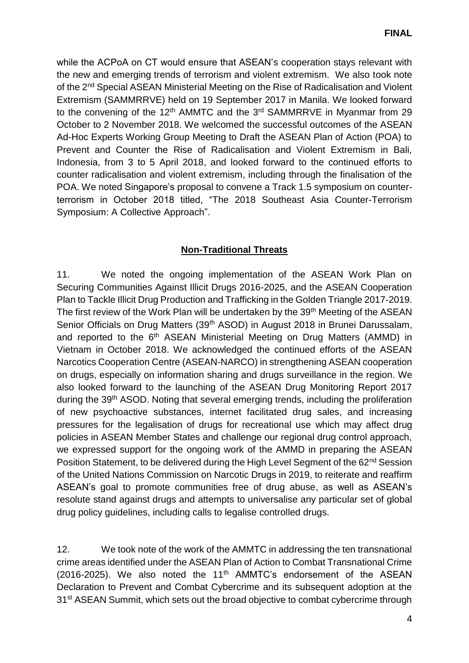while the ACPoA on CT would ensure that ASEAN's cooperation stays relevant with the new and emerging trends of terrorism and violent extremism. We also took note of the 2nd Special ASEAN Ministerial Meeting on the Rise of Radicalisation and Violent Extremism (SAMMRRVE) held on 19 September 2017 in Manila. We looked forward to the convening of the 12<sup>th</sup> AMMTC and the 3<sup>rd</sup> SAMMRRVE in Myanmar from 29 October to 2 November 2018. We welcomed the successful outcomes of the ASEAN Ad-Hoc Experts Working Group Meeting to Draft the ASEAN Plan of Action (POA) to Prevent and Counter the Rise of Radicalisation and Violent Extremism in Bali, Indonesia, from 3 to 5 April 2018, and looked forward to the continued efforts to counter radicalisation and violent extremism, including through the finalisation of the POA. We noted Singapore's proposal to convene a Track 1.5 symposium on counterterrorism in October 2018 titled, "The 2018 Southeast Asia Counter-Terrorism Symposium: A Collective Approach".

# **Non-Traditional Threats**

11. We noted the ongoing implementation of the ASEAN Work Plan on Securing Communities Against Illicit Drugs 2016-2025, and the ASEAN Cooperation Plan to Tackle Illicit Drug Production and Trafficking in the Golden Triangle 2017-2019. The first review of the Work Plan will be undertaken by the 39<sup>th</sup> Meeting of the ASEAN Senior Officials on Drug Matters (39<sup>th</sup> ASOD) in August 2018 in Brunei Darussalam, and reported to the 6<sup>th</sup> ASEAN Ministerial Meeting on Drug Matters (AMMD) in Vietnam in October 2018. We acknowledged the continued efforts of the ASEAN Narcotics Cooperation Centre (ASEAN-NARCO) in strengthening ASEAN cooperation on drugs, especially on information sharing and drugs surveillance in the region. We also looked forward to the launching of the ASEAN Drug Monitoring Report 2017 during the 39<sup>th</sup> ASOD. Noting that several emerging trends, including the proliferation of new psychoactive substances, internet facilitated drug sales, and increasing pressures for the legalisation of drugs for recreational use which may affect drug policies in ASEAN Member States and challenge our regional drug control approach, we expressed support for the ongoing work of the AMMD in preparing the ASEAN Position Statement, to be delivered during the High Level Segment of the 62<sup>nd</sup> Session of the United Nations Commission on Narcotic Drugs in 2019, to reiterate and reaffirm ASEAN's goal to promote communities free of drug abuse, as well as ASEAN's resolute stand against drugs and attempts to universalise any particular set of global drug policy guidelines, including calls to legalise controlled drugs.

12. We took note of the work of the AMMTC in addressing the ten transnational crime areas identified under the ASEAN Plan of Action to Combat Transnational Crime (2016-2025). We also noted the 11<sup>th</sup> AMMTC's endorsement of the ASEAN Declaration to Prevent and Combat Cybercrime and its subsequent adoption at the 31<sup>st</sup> ASEAN Summit, which sets out the broad objective to combat cybercrime through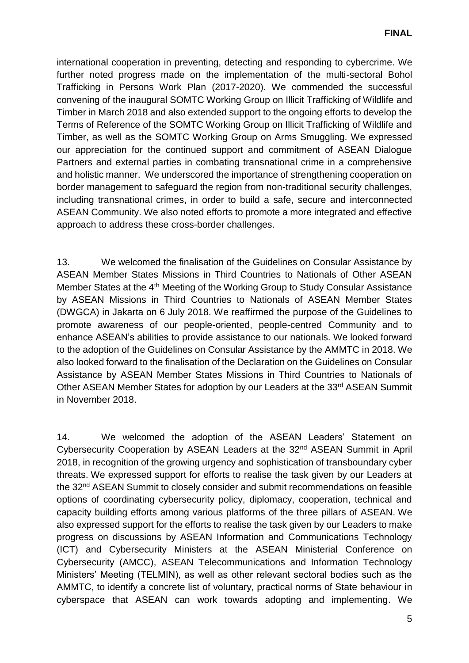international cooperation in preventing, detecting and responding to cybercrime. We further noted progress made on the implementation of the multi-sectoral Bohol Trafficking in Persons Work Plan (2017-2020). We commended the successful convening of the inaugural SOMTC Working Group on Illicit Trafficking of Wildlife and Timber in March 2018 and also extended support to the ongoing efforts to develop the Terms of Reference of the SOMTC Working Group on Illicit Trafficking of Wildlife and Timber, as well as the SOMTC Working Group on Arms Smuggling. We expressed our appreciation for the continued support and commitment of ASEAN Dialogue Partners and external parties in combating transnational crime in a comprehensive and holistic manner. We underscored the importance of strengthening cooperation on border management to safeguard the region from non-traditional security challenges, including transnational crimes, in order to build a safe, secure and interconnected ASEAN Community. We also noted efforts to promote a more integrated and effective approach to address these cross-border challenges.

13. We welcomed the finalisation of the Guidelines on Consular Assistance by ASEAN Member States Missions in Third Countries to Nationals of Other ASEAN Member States at the 4<sup>th</sup> Meeting of the Working Group to Study Consular Assistance by ASEAN Missions in Third Countries to Nationals of ASEAN Member States (DWGCA) in Jakarta on 6 July 2018. We reaffirmed the purpose of the Guidelines to promote awareness of our people-oriented, people-centred Community and to enhance ASEAN's abilities to provide assistance to our nationals. We looked forward to the adoption of the Guidelines on Consular Assistance by the AMMTC in 2018. We also looked forward to the finalisation of the Declaration on the Guidelines on Consular Assistance by ASEAN Member States Missions in Third Countries to Nationals of Other ASEAN Member States for adoption by our Leaders at the 33<sup>rd</sup> ASEAN Summit in November 2018.

14. We welcomed the adoption of the ASEAN Leaders' Statement on Cybersecurity Cooperation by ASEAN Leaders at the 32nd ASEAN Summit in April 2018, in recognition of the growing urgency and sophistication of transboundary cyber threats. We expressed support for efforts to realise the task given by our Leaders at the 32nd ASEAN Summit to closely consider and submit recommendations on feasible options of coordinating cybersecurity policy, diplomacy, cooperation, technical and capacity building efforts among various platforms of the three pillars of ASEAN. We also expressed support for the efforts to realise the task given by our Leaders to make progress on discussions by ASEAN Information and Communications Technology (ICT) and Cybersecurity Ministers at the ASEAN Ministerial Conference on Cybersecurity (AMCC), ASEAN Telecommunications and Information Technology Ministers' Meeting (TELMIN), as well as other relevant sectoral bodies such as the AMMTC, to identify a concrete list of voluntary, practical norms of State behaviour in cyberspace that ASEAN can work towards adopting and implementing. We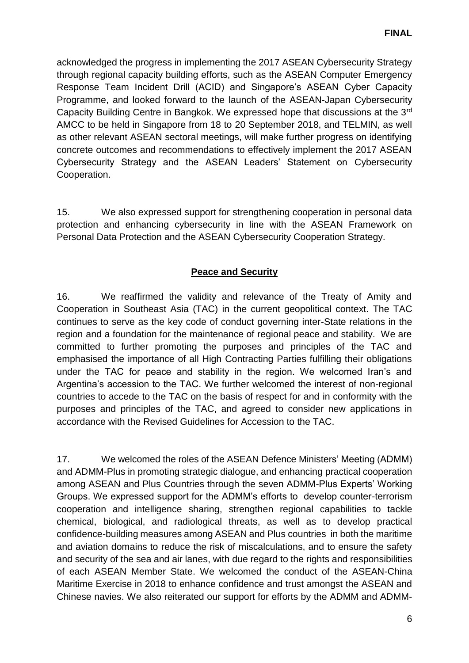acknowledged the progress in implementing the 2017 ASEAN Cybersecurity Strategy through regional capacity building efforts, such as the ASEAN Computer Emergency Response Team Incident Drill (ACID) and Singapore's ASEAN Cyber Capacity Programme, and looked forward to the launch of the ASEAN-Japan Cybersecurity Capacity Building Centre in Bangkok. We expressed hope that discussions at the 3rd AMCC to be held in Singapore from 18 to 20 September 2018, and TELMIN, as well as other relevant ASEAN sectoral meetings, will make further progress on identifying concrete outcomes and recommendations to effectively implement the 2017 ASEAN Cybersecurity Strategy and the ASEAN Leaders' Statement on Cybersecurity Cooperation.

15. We also expressed support for strengthening cooperation in personal data protection and enhancing cybersecurity in line with the ASEAN Framework on Personal Data Protection and the ASEAN Cybersecurity Cooperation Strategy.

# **Peace and Security**

16. We reaffirmed the validity and relevance of the Treaty of Amity and Cooperation in Southeast Asia (TAC) in the current geopolitical context. The TAC continues to serve as the key code of conduct governing inter-State relations in the region and a foundation for the maintenance of regional peace and stability. We are committed to further promoting the purposes and principles of the TAC and emphasised the importance of all High Contracting Parties fulfilling their obligations under the TAC for peace and stability in the region. We welcomed Iran's and Argentina's accession to the TAC. We further welcomed the interest of non-regional countries to accede to the TAC on the basis of respect for and in conformity with the purposes and principles of the TAC, and agreed to consider new applications in accordance with the Revised Guidelines for Accession to the TAC.

17. We welcomed the roles of the ASEAN Defence Ministers' Meeting (ADMM) and ADMM-Plus in promoting strategic dialogue, and enhancing practical cooperation among ASEAN and Plus Countries through the seven ADMM-Plus Experts' Working Groups. We expressed support for the ADMM's efforts to develop counter-terrorism cooperation and intelligence sharing, strengthen regional capabilities to tackle chemical, biological, and radiological threats, as well as to develop practical confidence-building measures among ASEAN and Plus countries in both the maritime and aviation domains to reduce the risk of miscalculations, and to ensure the safety and security of the sea and air lanes, with due regard to the rights and responsibilities of each ASEAN Member State. We welcomed the conduct of the ASEAN-China Maritime Exercise in 2018 to enhance confidence and trust amongst the ASEAN and Chinese navies. We also reiterated our support for efforts by the ADMM and ADMM-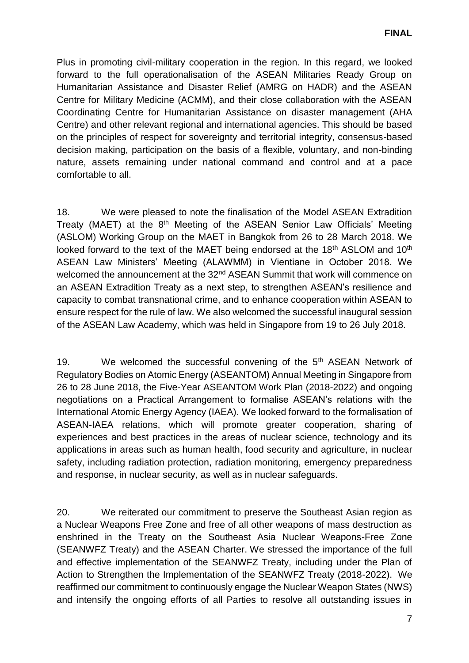Plus in promoting civil-military cooperation in the region. In this regard, we looked forward to the full operationalisation of the ASEAN Militaries Ready Group on Humanitarian Assistance and Disaster Relief (AMRG on HADR) and the ASEAN Centre for Military Medicine (ACMM), and their close collaboration with the ASEAN Coordinating Centre for Humanitarian Assistance on disaster management (AHA Centre) and other relevant regional and international agencies. This should be based on the principles of respect for sovereignty and territorial integrity, consensus-based decision making, participation on the basis of a flexible, voluntary, and non-binding nature, assets remaining under national command and control and at a pace comfortable to all.

18. We were pleased to note the finalisation of the Model ASEAN Extradition Treaty (MAET) at the 8<sup>th</sup> Meeting of the ASEAN Senior Law Officials' Meeting (ASLOM) Working Group on the MAET in Bangkok from 26 to 28 March 2018. We looked forward to the text of the MAET being endorsed at the 18<sup>th</sup> ASLOM and 10<sup>th</sup> ASEAN Law Ministers' Meeting (ALAWMM) in Vientiane in October 2018. We welcomed the announcement at the 32<sup>nd</sup> ASEAN Summit that work will commence on an ASEAN Extradition Treaty as a next step, to strengthen ASEAN's resilience and capacity to combat transnational crime, and to enhance cooperation within ASEAN to ensure respect for the rule of law. We also welcomed the successful inaugural session of the ASEAN Law Academy, which was held in Singapore from 19 to 26 July 2018.

19. We welcomed the successful convening of the 5<sup>th</sup> ASEAN Network of Regulatory Bodies on Atomic Energy (ASEANTOM) Annual Meeting in Singapore from 26 to 28 June 2018, the Five-Year ASEANTOM Work Plan (2018-2022) and ongoing negotiations on a Practical Arrangement to formalise ASEAN's relations with the International Atomic Energy Agency (IAEA). We looked forward to the formalisation of ASEAN-IAEA relations, which will promote greater cooperation, sharing of experiences and best practices in the areas of nuclear science, technology and its applications in areas such as human health, food security and agriculture, in nuclear safety, including radiation protection, radiation monitoring, emergency preparedness and response, in nuclear security, as well as in nuclear safeguards.

20. We reiterated our commitment to preserve the Southeast Asian region as a Nuclear Weapons Free Zone and free of all other weapons of mass destruction as enshrined in the Treaty on the Southeast Asia Nuclear Weapons-Free Zone (SEANWFZ Treaty) and the ASEAN Charter. We stressed the importance of the full and effective implementation of the SEANWFZ Treaty, including under the Plan of Action to Strengthen the Implementation of the SEANWFZ Treaty (2018-2022). We reaffirmed our commitment to continuously engage the Nuclear Weapon States (NWS) and intensify the ongoing efforts of all Parties to resolve all outstanding issues in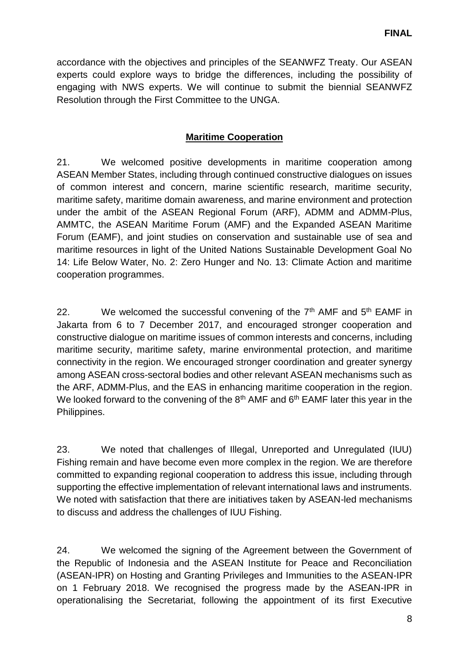accordance with the objectives and principles of the SEANWFZ Treaty. Our ASEAN experts could explore ways to bridge the differences, including the possibility of engaging with NWS experts. We will continue to submit the biennial SEANWFZ Resolution through the First Committee to the UNGA.

# **Maritime Cooperation**

21. We welcomed positive developments in maritime cooperation among ASEAN Member States, including through continued constructive dialogues on issues of common interest and concern, marine scientific research, maritime security, maritime safety, maritime domain awareness, and marine environment and protection under the ambit of the ASEAN Regional Forum (ARF), ADMM and ADMM-Plus, AMMTC, the ASEAN Maritime Forum (AMF) and the Expanded ASEAN Maritime Forum (EAMF), and joint studies on conservation and sustainable use of sea and maritime resources in light of the United Nations Sustainable Development Goal No 14: Life Below Water, No. 2: Zero Hunger and No. 13: Climate Action and maritime cooperation programmes.

22. We welcomed the successful convening of the  $7<sup>th</sup>$  AMF and  $5<sup>th</sup>$  EAMF in Jakarta from 6 to 7 December 2017, and encouraged stronger cooperation and constructive dialogue on maritime issues of common interests and concerns, including maritime security, maritime safety, marine environmental protection, and maritime connectivity in the region. We encouraged stronger coordination and greater synergy among ASEAN cross-sectoral bodies and other relevant ASEAN mechanisms such as the ARF, ADMM-Plus, and the EAS in enhancing maritime cooperation in the region. We looked forward to the convening of the  $8<sup>th</sup>$  AMF and  $6<sup>th</sup>$  EAMF later this year in the Philippines.

23. We noted that challenges of Illegal, Unreported and Unregulated (IUU) Fishing remain and have become even more complex in the region. We are therefore committed to expanding regional cooperation to address this issue, including through supporting the effective implementation of relevant international laws and instruments. We noted with satisfaction that there are initiatives taken by ASEAN-led mechanisms to discuss and address the challenges of IUU Fishing.

24. We welcomed the signing of the Agreement between the Government of the Republic of Indonesia and the ASEAN Institute for Peace and Reconciliation (ASEAN-IPR) on Hosting and Granting Privileges and Immunities to the ASEAN-IPR on 1 February 2018. We recognised the progress made by the ASEAN-IPR in operationalising the Secretariat, following the appointment of its first Executive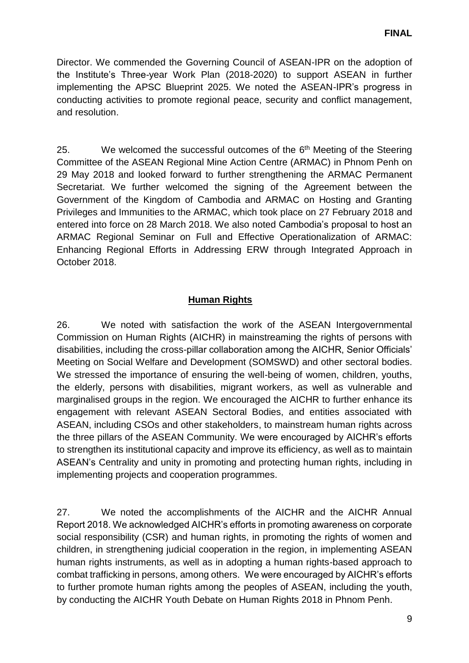Director. We commended the Governing Council of ASEAN-IPR on the adoption of the Institute's Three-year Work Plan (2018-2020) to support ASEAN in further implementing the APSC Blueprint 2025. We noted the ASEAN-IPR's progress in conducting activities to promote regional peace, security and conflict management, and resolution.

25. We welcomed the successful outcomes of the 6<sup>th</sup> Meeting of the Steering Committee of the ASEAN Regional Mine Action Centre (ARMAC) in Phnom Penh on 29 May 2018 and looked forward to further strengthening the ARMAC Permanent Secretariat. We further welcomed the signing of the Agreement between the Government of the Kingdom of Cambodia and ARMAC on Hosting and Granting Privileges and Immunities to the ARMAC, which took place on 27 February 2018 and entered into force on 28 March 2018. We also noted Cambodia's proposal to host an ARMAC Regional Seminar on Full and Effective Operationalization of ARMAC: Enhancing Regional Efforts in Addressing ERW through Integrated Approach in October 2018.

# **Human Rights**

26. We noted with satisfaction the work of the ASEAN Intergovernmental Commission on Human Rights (AICHR) in mainstreaming the rights of persons with disabilities, including the cross-pillar collaboration among the AICHR, Senior Officials' Meeting on Social Welfare and Development (SOMSWD) and other sectoral bodies. We stressed the importance of ensuring the well-being of women, children, youths, the elderly, persons with disabilities, migrant workers, as well as vulnerable and marginalised groups in the region. We encouraged the AICHR to further enhance its engagement with relevant ASEAN Sectoral Bodies, and entities associated with ASEAN, including CSOs and other stakeholders, to mainstream human rights across the three pillars of the ASEAN Community. We were encouraged by AICHR's efforts to strengthen its institutional capacity and improve its efficiency, as well as to maintain ASEAN's Centrality and unity in promoting and protecting human rights, including in implementing projects and cooperation programmes.

27. We noted the accomplishments of the AICHR and the AICHR Annual Report 2018. We acknowledged AICHR's efforts in promoting awareness on corporate social responsibility (CSR) and human rights, in promoting the rights of women and children, in strengthening judicial cooperation in the region, in implementing ASEAN human rights instruments, as well as in adopting a human rights-based approach to combat trafficking in persons, among others. We were encouraged by AICHR's efforts to further promote human rights among the peoples of ASEAN, including the youth, by conducting the AICHR Youth Debate on Human Rights 2018 in Phnom Penh.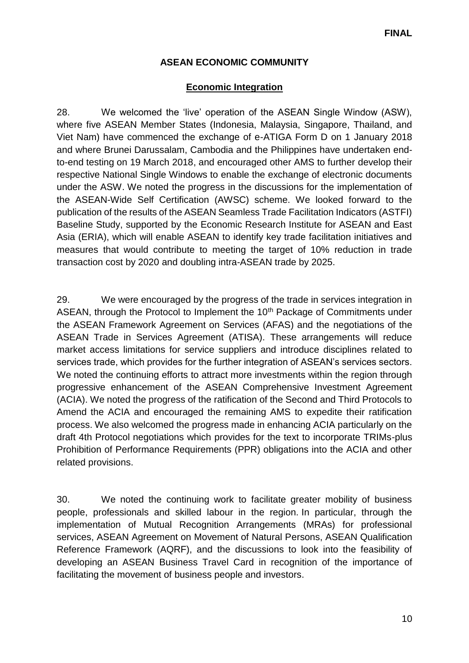# **ASEAN ECONOMIC COMMUNITY**

### **Economic Integration**

28. We welcomed the 'live' operation of the ASEAN Single Window (ASW), where five ASEAN Member States (Indonesia, Malaysia, Singapore, Thailand, and Viet Nam) have commenced the exchange of e-ATIGA Form D on 1 January 2018 and where Brunei Darussalam, Cambodia and the Philippines have undertaken endto-end testing on 19 March 2018, and encouraged other AMS to further develop their respective National Single Windows to enable the exchange of electronic documents under the ASW. We noted the progress in the discussions for the implementation of the ASEAN-Wide Self Certification (AWSC) scheme. We looked forward to the publication of the results of the ASEAN Seamless Trade Facilitation Indicators (ASTFI) Baseline Study, supported by the Economic Research Institute for ASEAN and East Asia (ERIA), which will enable ASEAN to identify key trade facilitation initiatives and measures that would contribute to meeting the target of 10% reduction in trade transaction cost by 2020 and doubling intra-ASEAN trade by 2025.

29. We were encouraged by the progress of the trade in services integration in ASEAN, through the Protocol to Implement the 10<sup>th</sup> Package of Commitments under the ASEAN Framework Agreement on Services (AFAS) and the negotiations of the ASEAN Trade in Services Agreement (ATISA). These arrangements will reduce market access limitations for service suppliers and introduce disciplines related to services trade, which provides for the further integration of ASEAN's services sectors. We noted the continuing efforts to attract more investments within the region through progressive enhancement of the ASEAN Comprehensive Investment Agreement (ACIA). We noted the progress of the ratification of the Second and Third Protocols to Amend the ACIA and encouraged the remaining AMS to expedite their ratification process. We also welcomed the progress made in enhancing ACIA particularly on the draft 4th Protocol negotiations which provides for the text to incorporate TRIMs-plus Prohibition of Performance Requirements (PPR) obligations into the ACIA and other related provisions.

30. We noted the continuing work to facilitate greater mobility of business people, professionals and skilled labour in the region. In particular, through the implementation of Mutual Recognition Arrangements (MRAs) for professional services, ASEAN Agreement on Movement of Natural Persons, ASEAN Qualification Reference Framework (AQRF), and the discussions to look into the feasibility of developing an ASEAN Business Travel Card in recognition of the importance of facilitating the movement of business people and investors.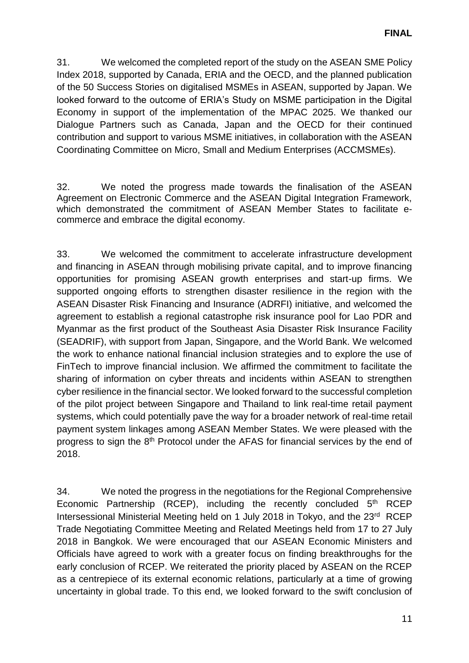31. We welcomed the completed report of the study on the ASEAN SME Policy Index 2018, supported by Canada, ERIA and the OECD, and the planned publication of the 50 Success Stories on digitalised MSMEs in ASEAN, supported by Japan. We looked forward to the outcome of ERIA's Study on MSME participation in the Digital Economy in support of the implementation of the MPAC 2025. We thanked our Dialogue Partners such as Canada, Japan and the OECD for their continued contribution and support to various MSME initiatives, in collaboration with the ASEAN Coordinating Committee on Micro, Small and Medium Enterprises (ACCMSMEs).

32. We noted the progress made towards the finalisation of the ASEAN Agreement on Electronic Commerce and the ASEAN Digital Integration Framework, which demonstrated the commitment of ASEAN Member States to facilitate ecommerce and embrace the digital economy.

33. We welcomed the commitment to accelerate infrastructure development and financing in ASEAN through mobilising private capital, and to improve financing opportunities for promising ASEAN growth enterprises and start-up firms. We supported ongoing efforts to strengthen disaster resilience in the region with the ASEAN Disaster Risk Financing and Insurance (ADRFI) initiative, and welcomed the agreement to establish a regional catastrophe risk insurance pool for Lao PDR and Myanmar as the first product of the Southeast Asia Disaster Risk Insurance Facility (SEADRIF), with support from Japan, Singapore, and the World Bank. We welcomed the work to enhance national financial inclusion strategies and to explore the use of FinTech to improve financial inclusion. We affirmed the commitment to facilitate the sharing of information on cyber threats and incidents within ASEAN to strengthen cyber resilience in the financial sector. We looked forward to the successful completion of the pilot project between Singapore and Thailand to link real-time retail payment systems, which could potentially pave the way for a broader network of real-time retail payment system linkages among ASEAN Member States. We were pleased with the progress to sign the 8<sup>th</sup> Protocol under the AFAS for financial services by the end of 2018.

34. We noted the progress in the negotiations for the Regional Comprehensive Economic Partnership (RCEP), including the recently concluded  $5<sup>th</sup>$  RCEP Intersessional Ministerial Meeting held on 1 July 2018 in Tokyo, and the 23<sup>rd</sup> RCEP Trade Negotiating Committee Meeting and Related Meetings held from 17 to 27 July 2018 in Bangkok. We were encouraged that our ASEAN Economic Ministers and Officials have agreed to work with a greater focus on finding breakthroughs for the early conclusion of RCEP. We reiterated the priority placed by ASEAN on the RCEP as a centrepiece of its external economic relations, particularly at a time of growing uncertainty in global trade. To this end, we looked forward to the swift conclusion of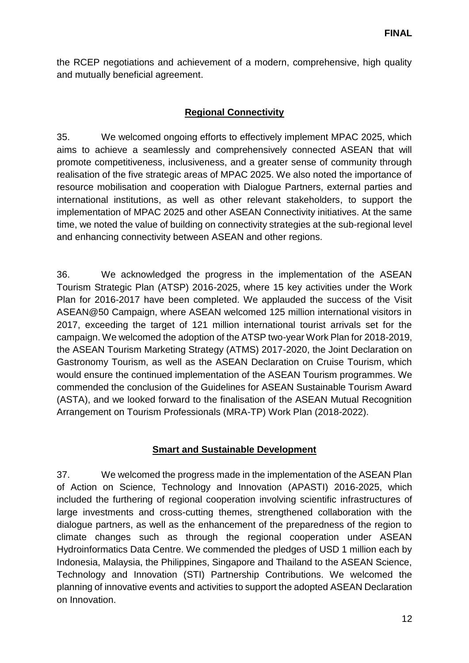the RCEP negotiations and achievement of a modern, comprehensive, high quality and mutually beneficial agreement.

# **Regional Connectivity**

35. We welcomed ongoing efforts to effectively implement MPAC 2025, which aims to achieve a seamlessly and comprehensively connected ASEAN that will promote competitiveness, inclusiveness, and a greater sense of community through realisation of the five strategic areas of MPAC 2025. We also noted the importance of resource mobilisation and cooperation with Dialogue Partners, external parties and international institutions, as well as other relevant stakeholders, to support the implementation of MPAC 2025 and other ASEAN Connectivity initiatives. At the same time, we noted the value of building on connectivity strategies at the sub-regional level and enhancing connectivity between ASEAN and other regions.

36. We acknowledged the progress in the implementation of the ASEAN Tourism Strategic Plan (ATSP) 2016-2025, where 15 key activities under the Work Plan for 2016-2017 have been completed. We applauded the success of the Visit ASEAN@50 Campaign, where ASEAN welcomed 125 million international visitors in 2017, exceeding the target of 121 million international tourist arrivals set for the campaign. We welcomed the adoption of the ATSP two-year Work Plan for 2018-2019, the ASEAN Tourism Marketing Strategy (ATMS) 2017-2020, the Joint Declaration on Gastronomy Tourism, as well as the ASEAN Declaration on Cruise Tourism, which would ensure the continued implementation of the ASEAN Tourism programmes. We commended the conclusion of the Guidelines for ASEAN Sustainable Tourism Award (ASTA), and we looked forward to the finalisation of the ASEAN Mutual Recognition Arrangement on Tourism Professionals (MRA-TP) Work Plan (2018-2022).

# **Smart and Sustainable Development**

37. We welcomed the progress made in the implementation of the ASEAN Plan of Action on Science, Technology and Innovation (APASTI) 2016-2025, which included the furthering of regional cooperation involving scientific infrastructures of large investments and cross-cutting themes, strengthened collaboration with the dialogue partners, as well as the enhancement of the preparedness of the region to climate changes such as through the regional cooperation under ASEAN Hydroinformatics Data Centre. We commended the pledges of USD 1 million each by Indonesia, Malaysia, the Philippines, Singapore and Thailand to the ASEAN Science, Technology and Innovation (STI) Partnership Contributions. We welcomed the planning of innovative events and activities to support the adopted ASEAN Declaration on Innovation.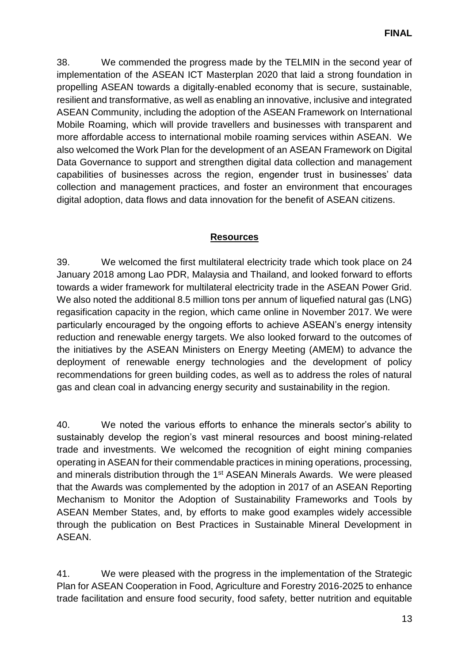38. We commended the progress made by the TELMIN in the second year of implementation of the ASEAN ICT Masterplan 2020 that laid a strong foundation in propelling ASEAN towards a digitally-enabled economy that is secure, sustainable, resilient and transformative, as well as enabling an innovative, inclusive and integrated ASEAN Community, including the adoption of the ASEAN Framework on International Mobile Roaming, which will provide travellers and businesses with transparent and more affordable access to international mobile roaming services within ASEAN. We also welcomed the Work Plan for the development of an ASEAN Framework on Digital Data Governance to support and strengthen digital data collection and management capabilities of businesses across the region, engender trust in businesses' data collection and management practices, and foster an environment that encourages digital adoption, data flows and data innovation for the benefit of ASEAN citizens.

# **Resources**

39. We welcomed the first multilateral electricity trade which took place on 24 January 2018 among Lao PDR, Malaysia and Thailand, and looked forward to efforts towards a wider framework for multilateral electricity trade in the ASEAN Power Grid. We also noted the additional 8.5 million tons per annum of liquefied natural gas (LNG) regasification capacity in the region, which came online in November 2017. We were particularly encouraged by the ongoing efforts to achieve ASEAN's energy intensity reduction and renewable energy targets. We also looked forward to the outcomes of the initiatives by the ASEAN Ministers on Energy Meeting (AMEM) to advance the deployment of renewable energy technologies and the development of policy recommendations for green building codes, as well as to address the roles of natural gas and clean coal in advancing energy security and sustainability in the region.

40. We noted the various efforts to enhance the minerals sector's ability to sustainably develop the region's vast mineral resources and boost mining-related trade and investments. We welcomed the recognition of eight mining companies operating in ASEAN for their commendable practices in mining operations, processing, and minerals distribution through the 1st ASEAN Minerals Awards. We were pleased that the Awards was complemented by the adoption in 2017 of an ASEAN Reporting Mechanism to Monitor the Adoption of Sustainability Frameworks and Tools by ASEAN Member States, and, by efforts to make good examples widely accessible through the publication on Best Practices in Sustainable Mineral Development in ASEAN.

41. We were pleased with the progress in the implementation of the Strategic Plan for ASEAN Cooperation in Food, Agriculture and Forestry 2016-2025 to enhance trade facilitation and ensure food security, food safety, better nutrition and equitable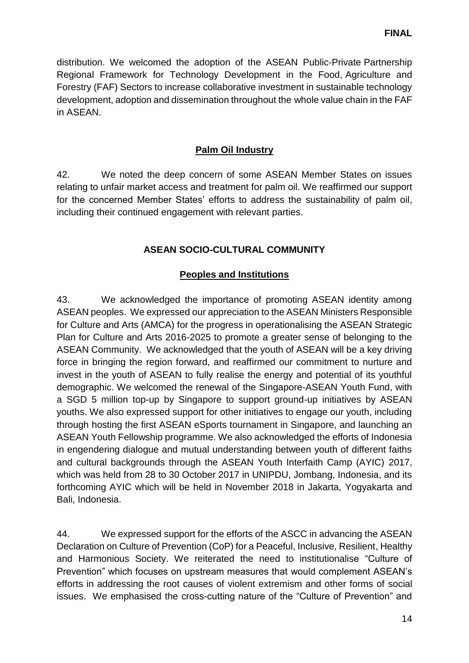distribution. We welcomed the adoption of the ASEAN Public-Private Partnership Regional Framework for Technology Development in the Food, Agriculture and Forestry (FAF) Sectors to increase collaborative investment in sustainable technology development, adoption and dissemination throughout the whole value chain in the FAF in ASEAN.

### **Palm Oil Industry**

42. We noted the deep concern of some ASEAN Member States on issues relating to unfair market access and treatment for palm oil. We reaffirmed our support for the concerned Member States' efforts to address the sustainability of palm oil, including their continued engagement with relevant parties.

### **ASEAN SOCIO-CULTURAL COMMUNITY**

#### **Peoples and Institutions**

43. We acknowledged the importance of promoting ASEAN identity among ASEAN peoples. We expressed our appreciation to the ASEAN Ministers Responsible for Culture and Arts (AMCA) for the progress in operationalising the ASEAN Strategic Plan for Culture and Arts 2016-2025 to promote a greater sense of belonging to the ASEAN Community. We acknowledged that the youth of ASEAN will be a key driving force in bringing the region forward, and reaffirmed our commitment to nurture and invest in the youth of ASEAN to fully realise the energy and potential of its youthful demographic. We welcomed the renewal of the Singapore-ASEAN Youth Fund, with a SGD 5 million top-up by Singapore to support ground-up initiatives by ASEAN youths. We also expressed support for other initiatives to engage our youth, including through hosting the first ASEAN eSports tournament in Singapore, and launching an ASEAN Youth Fellowship programme. We also acknowledged the efforts of Indonesia in engendering dialogue and mutual understanding between youth of different faiths and cultural backgrounds through the ASEAN Youth Interfaith Camp (AYIC) 2017, which was held from 28 to 30 October 2017 in UNIPDU, Jombang, Indonesia, and its forthcoming AYIC which will be held in November 2018 in Jakarta, Yogyakarta and Bali, Indonesia.

44. We expressed support for the efforts of the ASCC in advancing the ASEAN Declaration on Culture of Prevention (CoP) for a Peaceful, Inclusive, Resilient, Healthy and Harmonious Society. We reiterated the need to institutionalise "Culture of Prevention" which focuses on upstream measures that would complement ASEAN's efforts in addressing the root causes of violent extremism and other forms of social issues. We emphasised the cross-cutting nature of the "Culture of Prevention" and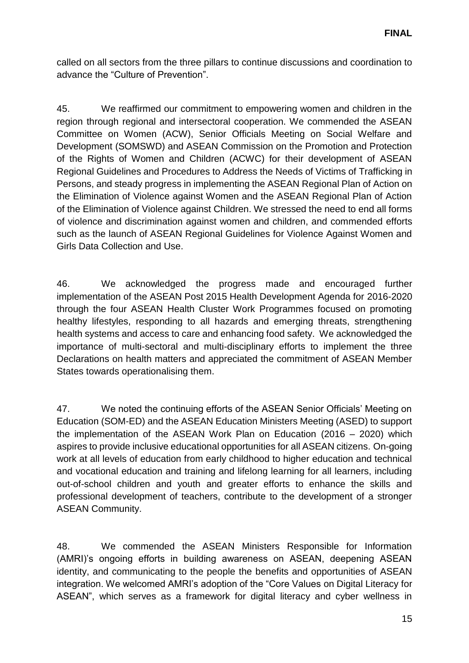called on all sectors from the three pillars to continue discussions and coordination to advance the "Culture of Prevention".

45. We reaffirmed our commitment to empowering women and children in the region through regional and intersectoral cooperation. We commended the ASEAN Committee on Women (ACW), Senior Officials Meeting on Social Welfare and Development (SOMSWD) and ASEAN Commission on the Promotion and Protection of the Rights of Women and Children (ACWC) for their development of ASEAN Regional Guidelines and Procedures to Address the Needs of Victims of Trafficking in Persons, and steady progress in implementing the ASEAN Regional Plan of Action on the Elimination of Violence against Women and the ASEAN Regional Plan of Action of the Elimination of Violence against Children. We stressed the need to end all forms of violence and discrimination against women and children, and commended efforts such as the launch of ASEAN Regional Guidelines for Violence Against Women and Girls Data Collection and Use.

46. We acknowledged the progress made and encouraged further implementation of the ASEAN Post 2015 Health Development Agenda for 2016-2020 through the four ASEAN Health Cluster Work Programmes focused on promoting healthy lifestyles, responding to all hazards and emerging threats, strengthening health systems and access to care and enhancing food safety. We acknowledged the importance of multi-sectoral and multi-disciplinary efforts to implement the three Declarations on health matters and appreciated the commitment of ASEAN Member States towards operationalising them.

47. We noted the continuing efforts of the ASEAN Senior Officials' Meeting on Education (SOM-ED) and the ASEAN Education Ministers Meeting (ASED) to support the implementation of the ASEAN Work Plan on Education (2016 – 2020) which aspires to provide inclusive educational opportunities for all ASEAN citizens. On-going work at all levels of education from early childhood to higher education and technical and vocational education and training and lifelong learning for all learners, including out-of-school children and youth and greater efforts to enhance the skills and professional development of teachers, contribute to the development of a stronger ASEAN Community.

48. We commended the ASEAN Ministers Responsible for Information (AMRI)'s ongoing efforts in building awareness on ASEAN, deepening ASEAN identity, and communicating to the people the benefits and opportunities of ASEAN integration. We welcomed AMRI's adoption of the "Core Values on Digital Literacy for ASEAN", which serves as a framework for digital literacy and cyber wellness in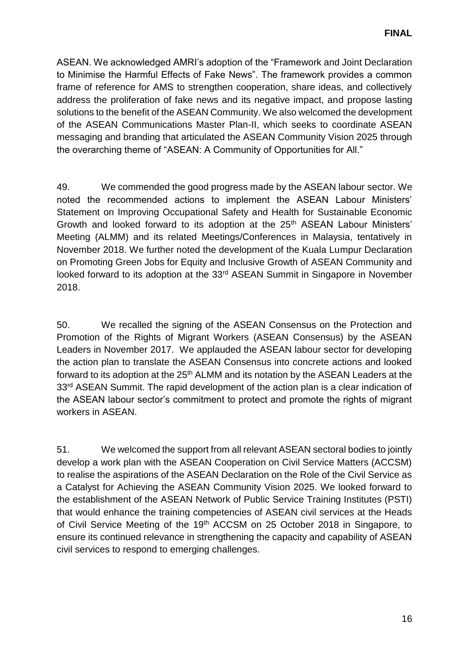ASEAN. We acknowledged AMRI's adoption of the "Framework and Joint Declaration to Minimise the Harmful Effects of Fake News". The framework provides a common frame of reference for AMS to strengthen cooperation, share ideas, and collectively address the proliferation of fake news and its negative impact, and propose lasting solutions to the benefit of the ASEAN Community. We also welcomed the development of the ASEAN Communications Master Plan-II, which seeks to coordinate ASEAN messaging and branding that articulated the ASEAN Community Vision 2025 through the overarching theme of "ASEAN: A Community of Opportunities for All."

49. We commended the good progress made by the ASEAN labour sector. We noted the recommended actions to implement the ASEAN Labour Ministers' Statement on Improving Occupational Safety and Health for Sustainable Economic Growth and looked forward to its adoption at the 25<sup>th</sup> ASEAN Labour Ministers' Meeting (ALMM) and its related Meetings/Conferences in Malaysia, tentatively in November 2018. We further noted the development of the Kuala Lumpur Declaration on Promoting Green Jobs for Equity and Inclusive Growth of ASEAN Community and looked forward to its adoption at the 33<sup>rd</sup> ASEAN Summit in Singapore in November 2018.

50. We recalled the signing of the ASEAN Consensus on the Protection and Promotion of the Rights of Migrant Workers (ASEAN Consensus) by the ASEAN Leaders in November 2017. We applauded the ASEAN labour sector for developing the action plan to translate the ASEAN Consensus into concrete actions and looked forward to its adoption at the 25<sup>th</sup> ALMM and its notation by the ASEAN Leaders at the 33<sup>rd</sup> ASEAN Summit. The rapid development of the action plan is a clear indication of the ASEAN labour sector's commitment to protect and promote the rights of migrant workers in ASEAN.

51. We welcomed the support from all relevant ASEAN sectoral bodies to jointly develop a work plan with the ASEAN Cooperation on Civil Service Matters (ACCSM) to realise the aspirations of the ASEAN Declaration on the Role of the Civil Service as a Catalyst for Achieving the ASEAN Community Vision 2025. We looked forward to the establishment of the ASEAN Network of Public Service Training Institutes (PSTI) that would enhance the training competencies of ASEAN civil services at the Heads of Civil Service Meeting of the 19<sup>th</sup> ACCSM on 25 October 2018 in Singapore, to ensure its continued relevance in strengthening the capacity and capability of ASEAN civil services to respond to emerging challenges.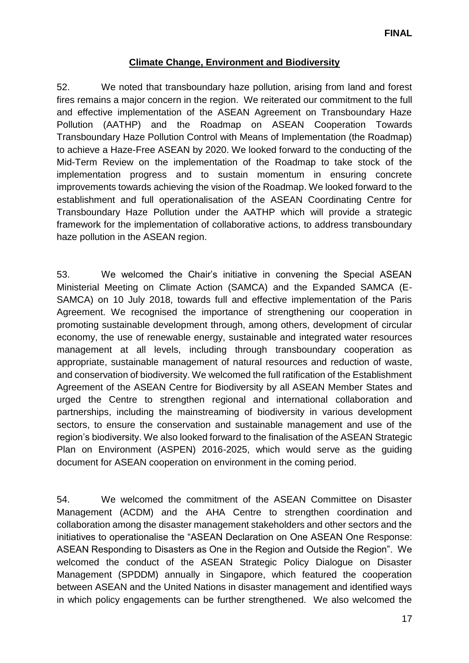### **Climate Change, Environment and Biodiversity**

52. We noted that transboundary haze pollution, arising from land and forest fires remains a major concern in the region. We reiterated our commitment to the full and effective implementation of the ASEAN Agreement on Transboundary Haze Pollution (AATHP) and the Roadmap on ASEAN Cooperation Towards Transboundary Haze Pollution Control with Means of Implementation (the Roadmap) to achieve a Haze-Free ASEAN by 2020. We looked forward to the conducting of the Mid-Term Review on the implementation of the Roadmap to take stock of the implementation progress and to sustain momentum in ensuring concrete improvements towards achieving the vision of the Roadmap. We looked forward to the establishment and full operationalisation of the ASEAN Coordinating Centre for Transboundary Haze Pollution under the AATHP which will provide a strategic framework for the implementation of collaborative actions, to address transboundary haze pollution in the ASEAN region.

53. We welcomed the Chair's initiative in convening the Special ASEAN Ministerial Meeting on Climate Action (SAMCA) and the Expanded SAMCA (E-SAMCA) on 10 July 2018, towards full and effective implementation of the Paris Agreement. We recognised the importance of strengthening our cooperation in promoting sustainable development through, among others, development of circular economy, the use of renewable energy, sustainable and integrated water resources management at all levels, including through transboundary cooperation as appropriate, sustainable management of natural resources and reduction of waste, and conservation of biodiversity. We welcomed the full ratification of the Establishment Agreement of the ASEAN Centre for Biodiversity by all ASEAN Member States and urged the Centre to strengthen regional and international collaboration and partnerships, including the mainstreaming of biodiversity in various development sectors, to ensure the conservation and sustainable management and use of the region's biodiversity. We also looked forward to the finalisation of the ASEAN Strategic Plan on Environment (ASPEN) 2016-2025, which would serve as the guiding document for ASEAN cooperation on environment in the coming period.

54. We welcomed the commitment of the ASEAN Committee on Disaster Management (ACDM) and the AHA Centre to strengthen coordination and collaboration among the disaster management stakeholders and other sectors and the initiatives to operationalise the "ASEAN Declaration on One ASEAN One Response: ASEAN Responding to Disasters as One in the Region and Outside the Region". We welcomed the conduct of the ASEAN Strategic Policy Dialogue on Disaster Management (SPDDM) annually in Singapore, which featured the cooperation between ASEAN and the United Nations in disaster management and identified ways in which policy engagements can be further strengthened. We also welcomed the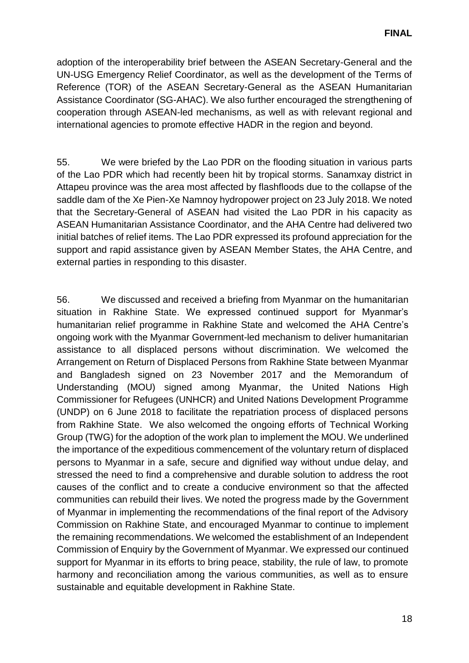adoption of the interoperability brief between the ASEAN Secretary-General and the UN-USG Emergency Relief Coordinator, as well as the development of the Terms of Reference (TOR) of the ASEAN Secretary-General as the ASEAN Humanitarian Assistance Coordinator (SG-AHAC). We also further encouraged the strengthening of cooperation through ASEAN-led mechanisms, as well as with relevant regional and international agencies to promote effective HADR in the region and beyond.

55. We were briefed by the Lao PDR on the flooding situation in various parts of the Lao PDR which had recently been hit by tropical storms. Sanamxay district in Attapeu province was the area most affected by flashfloods due to the collapse of the saddle dam of the Xe Pien-Xe Namnoy hydropower project on 23 July 2018. We noted that the Secretary-General of ASEAN had visited the Lao PDR in his capacity as ASEAN Humanitarian Assistance Coordinator, and the AHA Centre had delivered two initial batches of relief items. The Lao PDR expressed its profound appreciation for the support and rapid assistance given by ASEAN Member States, the AHA Centre, and external parties in responding to this disaster.

56. We discussed and received a briefing from Myanmar on the humanitarian situation in Rakhine State. We expressed continued support for Myanmar's humanitarian relief programme in Rakhine State and welcomed the AHA Centre's ongoing work with the Myanmar Government-led mechanism to deliver humanitarian assistance to all displaced persons without discrimination. We welcomed the Arrangement on Return of Displaced Persons from Rakhine State between Myanmar and Bangladesh signed on 23 November 2017 and the Memorandum of Understanding (MOU) signed among Myanmar, the United Nations High Commissioner for Refugees (UNHCR) and United Nations Development Programme (UNDP) on 6 June 2018 to facilitate the repatriation process of displaced persons from Rakhine State. We also welcomed the ongoing efforts of Technical Working Group (TWG) for the adoption of the work plan to implement the MOU. We underlined the importance of the expeditious commencement of the voluntary return of displaced persons to Myanmar in a safe, secure and dignified way without undue delay, and stressed the need to find a comprehensive and durable solution to address the root causes of the conflict and to create a conducive environment so that the affected communities can rebuild their lives. We noted the progress made by the Government of Myanmar in implementing the recommendations of the final report of the Advisory Commission on Rakhine State, and encouraged Myanmar to continue to implement the remaining recommendations. We welcomed the establishment of an Independent Commission of Enquiry by the Government of Myanmar. We expressed our continued support for Myanmar in its efforts to bring peace, stability, the rule of law, to promote harmony and reconciliation among the various communities, as well as to ensure sustainable and equitable development in Rakhine State.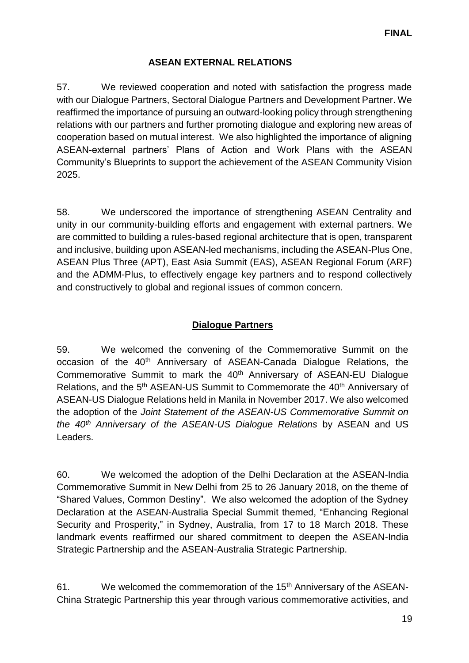# **ASEAN EXTERNAL RELATIONS**

57. We reviewed cooperation and noted with satisfaction the progress made with our Dialogue Partners, Sectoral Dialogue Partners and Development Partner. We reaffirmed the importance of pursuing an outward-looking policy through strengthening relations with our partners and further promoting dialogue and exploring new areas of cooperation based on mutual interest. We also highlighted the importance of aligning ASEAN-external partners' Plans of Action and Work Plans with the ASEAN Community's Blueprints to support the achievement of the ASEAN Community Vision 2025.

58. We underscored the importance of strengthening ASEAN Centrality and unity in our community-building efforts and engagement with external partners. We are committed to building a rules-based regional architecture that is open, transparent and inclusive, building upon ASEAN-led mechanisms, including the ASEAN-Plus One, ASEAN Plus Three (APT), East Asia Summit (EAS), ASEAN Regional Forum (ARF) and the ADMM-Plus, to effectively engage key partners and to respond collectively and constructively to global and regional issues of common concern.

# **Dialogue Partners**

59. We welcomed the convening of the Commemorative Summit on the occasion of the 40<sup>th</sup> Anniversary of ASEAN-Canada Dialogue Relations, the Commemorative Summit to mark the 40<sup>th</sup> Anniversary of ASEAN-EU Dialogue Relations, and the 5<sup>th</sup> ASEAN-US Summit to Commemorate the 40<sup>th</sup> Anniversary of ASEAN-US Dialogue Relations held in Manila in November 2017. We also welcomed the adoption of the *Joint Statement of the ASEAN-US Commemorative Summit on the 40th Anniversary of the ASEAN-US Dialogue Relations* by ASEAN and US Leaders.

60. We welcomed the adoption of the Delhi Declaration at the ASEAN-India Commemorative Summit in New Delhi from 25 to 26 January 2018, on the theme of "Shared Values, Common Destiny". We also welcomed the adoption of the Sydney Declaration at the ASEAN-Australia Special Summit themed, "Enhancing Regional Security and Prosperity," in Sydney, Australia, from 17 to 18 March 2018. These landmark events reaffirmed our shared commitment to deepen the ASEAN-India Strategic Partnership and the ASEAN-Australia Strategic Partnership.

61. We welcomed the commemoration of the 15<sup>th</sup> Anniversary of the ASEAN-China Strategic Partnership this year through various commemorative activities, and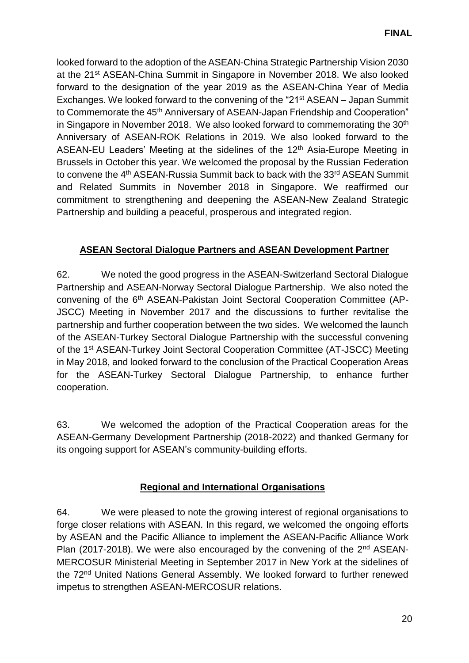looked forward to the adoption of the ASEAN-China Strategic Partnership Vision 2030 at the 21st ASEAN-China Summit in Singapore in November 2018. We also looked forward to the designation of the year 2019 as the ASEAN-China Year of Media Exchanges. We looked forward to the convening of the "21st ASEAN – Japan Summit to Commemorate the 45<sup>th</sup> Anniversary of ASEAN-Japan Friendship and Cooperation" in Singapore in November 2018. We also looked forward to commemorating the  $30<sup>th</sup>$ Anniversary of ASEAN-ROK Relations in 2019. We also looked forward to the ASEAN-EU Leaders' Meeting at the sidelines of the 12<sup>th</sup> Asia-Europe Meeting in Brussels in October this year. We welcomed the proposal by the Russian Federation to convene the 4<sup>th</sup> ASEAN-Russia Summit back to back with the 33<sup>rd</sup> ASEAN Summit and Related Summits in November 2018 in Singapore. We reaffirmed our commitment to strengthening and deepening the ASEAN-New Zealand Strategic Partnership and building a peaceful, prosperous and integrated region.

# **ASEAN Sectoral Dialogue Partners and ASEAN Development Partner**

62. We noted the good progress in the ASEAN-Switzerland Sectoral Dialogue Partnership and ASEAN-Norway Sectoral Dialogue Partnership. We also noted the convening of the 6th ASEAN-Pakistan Joint Sectoral Cooperation Committee (AP-JSCC) Meeting in November 2017 and the discussions to further revitalise the partnership and further cooperation between the two sides. We welcomed the launch of the ASEAN-Turkey Sectoral Dialogue Partnership with the successful convening of the 1st ASEAN-Turkey Joint Sectoral Cooperation Committee (AT-JSCC) Meeting in May 2018, and looked forward to the conclusion of the Practical Cooperation Areas for the ASEAN-Turkey Sectoral Dialogue Partnership, to enhance further cooperation.

63. We welcomed the adoption of the Practical Cooperation areas for the ASEAN-Germany Development Partnership (2018-2022) and thanked Germany for its ongoing support for ASEAN's community-building efforts.

# **Regional and International Organisations**

64. We were pleased to note the growing interest of regional organisations to forge closer relations with ASEAN. In this regard, we welcomed the ongoing efforts by ASEAN and the Pacific Alliance to implement the ASEAN-Pacific Alliance Work Plan (2017-2018). We were also encouraged by the convening of the 2<sup>nd</sup> ASEAN-MERCOSUR Ministerial Meeting in September 2017 in New York at the sidelines of the 72nd United Nations General Assembly. We looked forward to further renewed impetus to strengthen ASEAN-MERCOSUR relations.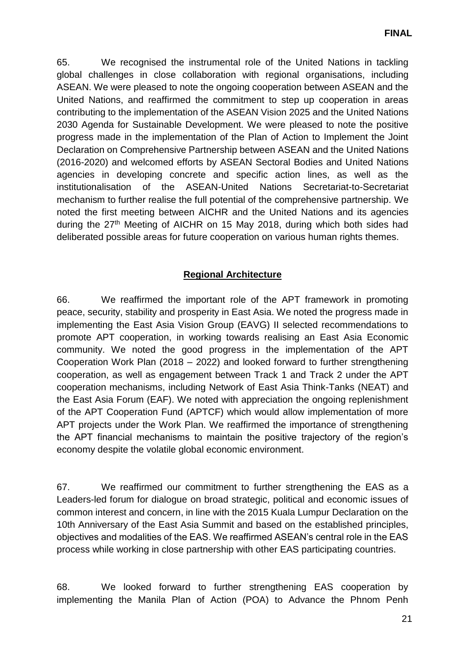65. We recognised the instrumental role of the United Nations in tackling global challenges in close collaboration with regional organisations, including ASEAN. We were pleased to note the ongoing cooperation between ASEAN and the United Nations, and reaffirmed the commitment to step up cooperation in areas contributing to the implementation of the ASEAN Vision 2025 and the United Nations 2030 Agenda for Sustainable Development. We were pleased to note the positive progress made in the implementation of the Plan of Action to Implement the Joint Declaration on Comprehensive Partnership between ASEAN and the United Nations (2016-2020) and welcomed efforts by ASEAN Sectoral Bodies and United Nations agencies in developing concrete and specific action lines, as well as the institutionalisation of the ASEAN-United Nations Secretariat-to-Secretariat mechanism to further realise the full potential of the comprehensive partnership. We noted the first meeting between AICHR and the United Nations and its agencies during the 27th Meeting of AICHR on 15 May 2018, during which both sides had deliberated possible areas for future cooperation on various human rights themes.

# **Regional Architecture**

66. We reaffirmed the important role of the APT framework in promoting peace, security, stability and prosperity in East Asia. We noted the progress made in implementing the East Asia Vision Group (EAVG) II selected recommendations to promote APT cooperation, in working towards realising an East Asia Economic community. We noted the good progress in the implementation of the APT Cooperation Work Plan (2018 – 2022) and looked forward to further strengthening cooperation, as well as engagement between Track 1 and Track 2 under the APT cooperation mechanisms, including Network of East Asia Think-Tanks (NEAT) and the East Asia Forum (EAF). We noted with appreciation the ongoing replenishment of the APT Cooperation Fund (APTCF) which would allow implementation of more APT projects under the Work Plan. We reaffirmed the importance of strengthening the APT financial mechanisms to maintain the positive trajectory of the region's economy despite the volatile global economic environment.

67. We reaffirmed our commitment to further strengthening the EAS as a Leaders-led forum for dialogue on broad strategic, political and economic issues of common interest and concern, in line with the 2015 Kuala Lumpur Declaration on the 10th Anniversary of the East Asia Summit and based on the established principles, objectives and modalities of the EAS. We reaffirmed ASEAN's central role in the EAS process while working in close partnership with other EAS participating countries.

68. We looked forward to further strengthening EAS cooperation by implementing the Manila Plan of Action (POA) to Advance the Phnom Penh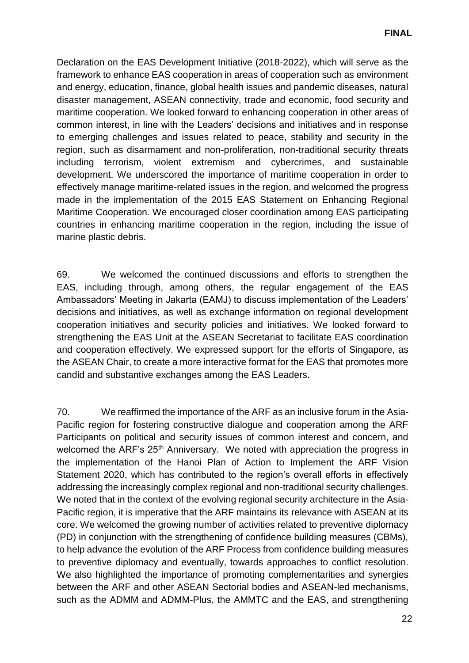Declaration on the EAS Development Initiative (2018-2022), which will serve as the framework to enhance EAS cooperation in areas of cooperation such as environment and energy, education, finance, global health issues and pandemic diseases, natural disaster management, ASEAN connectivity, trade and economic, food security and maritime cooperation. We looked forward to enhancing cooperation in other areas of common interest, in line with the Leaders' decisions and initiatives and in response to emerging challenges and issues related to peace, stability and security in the region, such as disarmament and non-proliferation, non-traditional security threats including terrorism, violent extremism and cybercrimes, and sustainable development. We underscored the importance of maritime cooperation in order to effectively manage maritime-related issues in the region, and welcomed the progress made in the implementation of the 2015 EAS Statement on Enhancing Regional Maritime Cooperation. We encouraged closer coordination among EAS participating countries in enhancing maritime cooperation in the region, including the issue of marine plastic debris.

69. We welcomed the continued discussions and efforts to strengthen the EAS, including through, among others, the regular engagement of the EAS Ambassadors' Meeting in Jakarta (EAMJ) to discuss implementation of the Leaders' decisions and initiatives, as well as exchange information on regional development cooperation initiatives and security policies and initiatives. We looked forward to strengthening the EAS Unit at the ASEAN Secretariat to facilitate EAS coordination and cooperation effectively. We expressed support for the efforts of Singapore, as the ASEAN Chair, to create a more interactive format for the EAS that promotes more candid and substantive exchanges among the EAS Leaders.

70. We reaffirmed the importance of the ARF as an inclusive forum in the Asia-Pacific region for fostering constructive dialogue and cooperation among the ARF Participants on political and security issues of common interest and concern, and welcomed the ARF's 25<sup>th</sup> Anniversary. We noted with appreciation the progress in the implementation of the Hanoi Plan of Action to Implement the ARF Vision Statement 2020, which has contributed to the region's overall efforts in effectively addressing the increasingly complex regional and non-traditional security challenges. We noted that in the context of the evolving regional security architecture in the Asia-Pacific region, it is imperative that the ARF maintains its relevance with ASEAN at its core. We welcomed the growing number of activities related to preventive diplomacy (PD) in conjunction with the strengthening of confidence building measures (CBMs), to help advance the evolution of the ARF Process from confidence building measures to preventive diplomacy and eventually, towards approaches to conflict resolution. We also highlighted the importance of promoting complementarities and synergies between the ARF and other ASEAN Sectorial bodies and ASEAN-led mechanisms, such as the ADMM and ADMM-Plus, the AMMTC and the EAS, and strengthening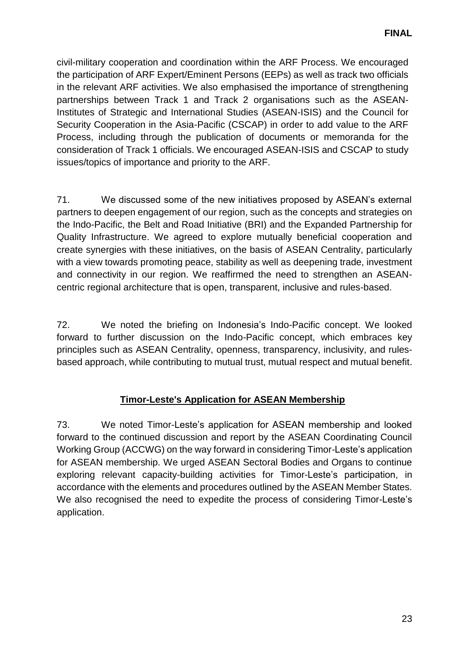civil-military cooperation and coordination within the ARF Process. We encouraged the participation of ARF Expert/Eminent Persons (EEPs) as well as track two officials in the relevant ARF activities. We also emphasised the importance of strengthening partnerships between Track 1 and Track 2 organisations such as the ASEAN-Institutes of Strategic and International Studies (ASEAN-ISIS) and the Council for Security Cooperation in the Asia-Pacific (CSCAP) in order to add value to the ARF Process, including through the publication of documents or memoranda for the consideration of Track 1 officials. We encouraged ASEAN-ISIS and CSCAP to study issues/topics of importance and priority to the ARF.

71. We discussed some of the new initiatives proposed by ASEAN's external partners to deepen engagement of our region, such as the concepts and strategies on the Indo-Pacific, the Belt and Road Initiative (BRI) and the Expanded Partnership for Quality Infrastructure. We agreed to explore mutually beneficial cooperation and create synergies with these initiatives, on the basis of ASEAN Centrality, particularly with a view towards promoting peace, stability as well as deepening trade, investment and connectivity in our region. We reaffirmed the need to strengthen an ASEANcentric regional architecture that is open, transparent, inclusive and rules-based.

72. We noted the briefing on Indonesia's Indo-Pacific concept. We looked forward to further discussion on the Indo-Pacific concept, which embraces key principles such as ASEAN Centrality, openness, transparency, inclusivity, and rulesbased approach, while contributing to mutual trust, mutual respect and mutual benefit.

# **Timor-Leste's Application for ASEAN Membership**

73. We noted Timor-Leste's application for ASEAN membership and looked forward to the continued discussion and report by the ASEAN Coordinating Council Working Group (ACCWG) on the way forward in considering Timor-Leste's application for ASEAN membership. We urged ASEAN Sectoral Bodies and Organs to continue exploring relevant capacity-building activities for Timor-Leste's participation, in accordance with the elements and procedures outlined by the ASEAN Member States. We also recognised the need to expedite the process of considering Timor-Leste's application.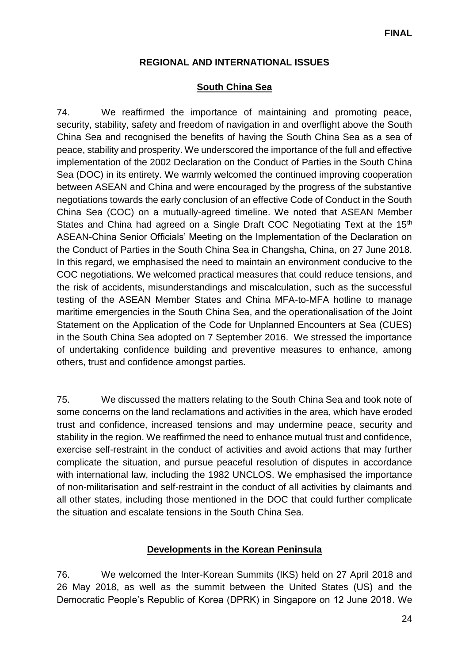### **REGIONAL AND INTERNATIONAL ISSUES**

#### **South China Sea**

74. We reaffirmed the importance of maintaining and promoting peace, security, stability, safety and freedom of navigation in and overflight above the South China Sea and recognised the benefits of having the South China Sea as a sea of peace, stability and prosperity. We underscored the importance of the full and effective implementation of the 2002 Declaration on the Conduct of Parties in the South China Sea (DOC) in its entirety. We warmly welcomed the continued improving cooperation between ASEAN and China and were encouraged by the progress of the substantive negotiations towards the early conclusion of an effective Code of Conduct in the South China Sea (COC) on a mutually-agreed timeline. We noted that ASEAN Member States and China had agreed on a Single Draft COC Negotiating Text at the 15<sup>th</sup> ASEAN-China Senior Officials' Meeting on the Implementation of the Declaration on the Conduct of Parties in the South China Sea in Changsha, China, on 27 June 2018. In this regard, we emphasised the need to maintain an environment conducive to the COC negotiations. We welcomed practical measures that could reduce tensions, and the risk of accidents, misunderstandings and miscalculation, such as the successful testing of the ASEAN Member States and China MFA-to-MFA hotline to manage maritime emergencies in the South China Sea, and the operationalisation of the Joint Statement on the Application of the Code for Unplanned Encounters at Sea (CUES) in the South China Sea adopted on 7 September 2016. We stressed the importance of undertaking confidence building and preventive measures to enhance, among others, trust and confidence amongst parties.

75. We discussed the matters relating to the South China Sea and took note of some concerns on the land reclamations and activities in the area, which have eroded trust and confidence, increased tensions and may undermine peace, security and stability in the region. We reaffirmed the need to enhance mutual trust and confidence, exercise self-restraint in the conduct of activities and avoid actions that may further complicate the situation, and pursue peaceful resolution of disputes in accordance with international law, including the 1982 UNCLOS. We emphasised the importance of non-militarisation and self-restraint in the conduct of all activities by claimants and all other states, including those mentioned in the DOC that could further complicate the situation and escalate tensions in the South China Sea.

#### **Developments in the Korean Peninsula**

76. We welcomed the Inter-Korean Summits (IKS) held on 27 April 2018 and 26 May 2018, as well as the summit between the United States (US) and the Democratic People's Republic of Korea (DPRK) in Singapore on 12 June 2018. We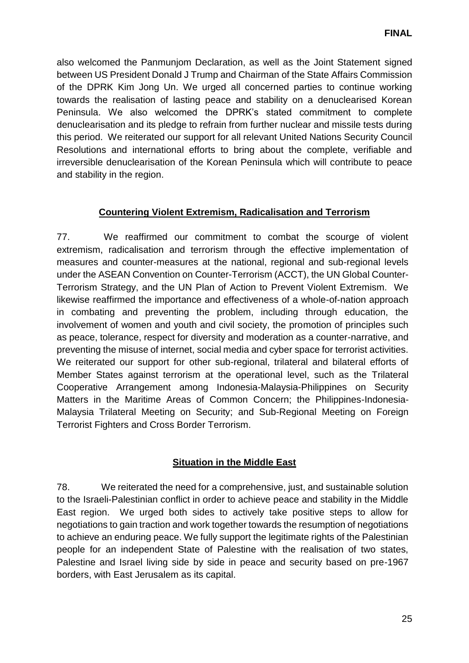also welcomed the Panmunjom Declaration, as well as the Joint Statement signed between US President Donald J Trump and Chairman of the State Affairs Commission of the DPRK Kim Jong Un. We urged all concerned parties to continue working towards the realisation of lasting peace and stability on a denuclearised Korean Peninsula. We also welcomed the DPRK's stated commitment to complete denuclearisation and its pledge to refrain from further nuclear and missile tests during this period. We reiterated our support for all relevant United Nations Security Council Resolutions and international efforts to bring about the complete, verifiable and irreversible denuclearisation of the Korean Peninsula which will contribute to peace and stability in the region.

# **Countering Violent Extremism, Radicalisation and Terrorism**

77. We reaffirmed our commitment to combat the scourge of violent extremism, radicalisation and terrorism through the effective implementation of measures and counter-measures at the national, regional and sub-regional levels under the ASEAN Convention on Counter-Terrorism (ACCT), the UN Global Counter-Terrorism Strategy, and the UN Plan of Action to Prevent Violent Extremism. We likewise reaffirmed the importance and effectiveness of a whole-of-nation approach in combating and preventing the problem, including through education, the involvement of women and youth and civil society, the promotion of principles such as peace, tolerance, respect for diversity and moderation as a counter-narrative, and preventing the misuse of internet, social media and cyber space for terrorist activities. We reiterated our support for other sub-regional, trilateral and bilateral efforts of Member States against terrorism at the operational level, such as the Trilateral Cooperative Arrangement among Indonesia-Malaysia-Philippines on Security Matters in the Maritime Areas of Common Concern; the Philippines-Indonesia-Malaysia Trilateral Meeting on Security; and Sub-Regional Meeting on Foreign Terrorist Fighters and Cross Border Terrorism.

# **Situation in the Middle East**

78. We reiterated the need for a comprehensive, just, and sustainable solution to the Israeli-Palestinian conflict in order to achieve peace and stability in the Middle East region. We urged both sides to actively take positive steps to allow for negotiations to gain traction and work together towards the resumption of negotiations to achieve an enduring peace. We fully support the legitimate rights of the Palestinian people for an independent State of Palestine with the realisation of two states, Palestine and Israel living side by side in peace and security based on pre-1967 borders, with East Jerusalem as its capital.